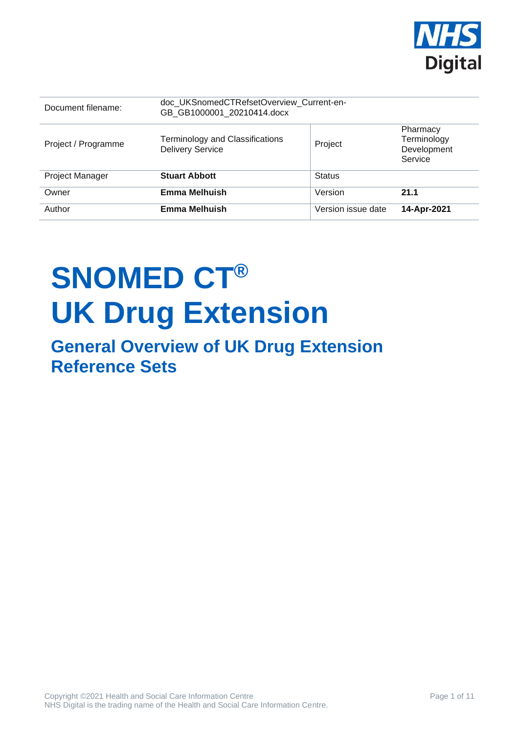

| Document filename:     | doc UKSnomedCTRefsetOverview Current-en-<br>GB GB1000001 20210414.docx |                    |                                                   |
|------------------------|------------------------------------------------------------------------|--------------------|---------------------------------------------------|
| Project / Programme    | Terminology and Classifications<br><b>Delivery Service</b>             | Project            | Pharmacy<br>Terminology<br>Development<br>Service |
| <b>Project Manager</b> | <b>Stuart Abbott</b>                                                   | <b>Status</b>      |                                                   |
| Owner                  | <b>Emma Melhuish</b>                                                   | Version            | 21.1                                              |
| Author                 | <b>Emma Melhuish</b>                                                   | Version issue date | 14-Apr-2021                                       |

# **SNOMED CT® UK Drug Extension**

### **General Overview of UK Drug Extension Reference Sets**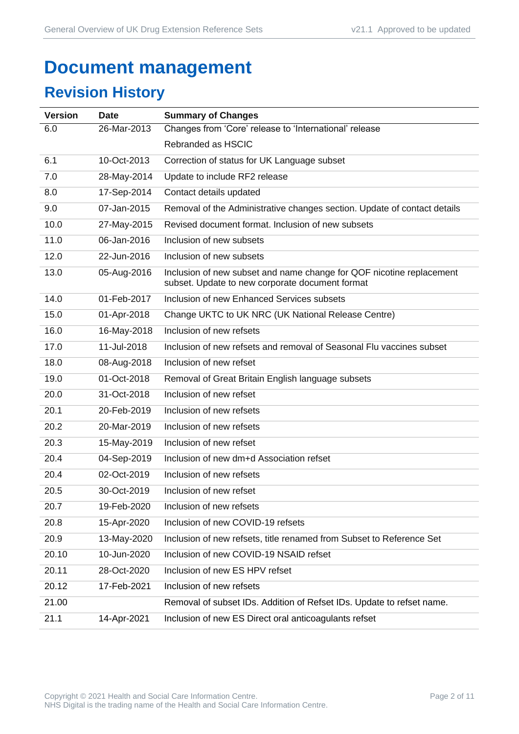## **Document management**

### **Revision History**

| <b>Version</b> | <b>Date</b> | <b>Summary of Changes</b>                                                                                               |
|----------------|-------------|-------------------------------------------------------------------------------------------------------------------------|
| 6.0            | 26-Mar-2013 | Changes from 'Core' release to 'International' release                                                                  |
|                |             | Rebranded as HSCIC                                                                                                      |
| 6.1            | 10-Oct-2013 | Correction of status for UK Language subset                                                                             |
| 7.0            | 28-May-2014 | Update to include RF2 release                                                                                           |
| 8.0            | 17-Sep-2014 | Contact details updated                                                                                                 |
| 9.0            | 07-Jan-2015 | Removal of the Administrative changes section. Update of contact details                                                |
| 10.0           | 27-May-2015 | Revised document format. Inclusion of new subsets                                                                       |
| 11.0           | 06-Jan-2016 | Inclusion of new subsets                                                                                                |
| 12.0           | 22-Jun-2016 | Inclusion of new subsets                                                                                                |
| 13.0           | 05-Aug-2016 | Inclusion of new subset and name change for QOF nicotine replacement<br>subset. Update to new corporate document format |
| 14.0           | 01-Feb-2017 | Inclusion of new Enhanced Services subsets                                                                              |
| 15.0           | 01-Apr-2018 | Change UKTC to UK NRC (UK National Release Centre)                                                                      |
| 16.0           | 16-May-2018 | Inclusion of new refsets                                                                                                |
| 17.0           | 11-Jul-2018 | Inclusion of new refsets and removal of Seasonal Flu vaccines subset                                                    |
| 18.0           | 08-Aug-2018 | Inclusion of new refset                                                                                                 |
| 19.0           | 01-Oct-2018 | Removal of Great Britain English language subsets                                                                       |
| 20.0           | 31-Oct-2018 | Inclusion of new refset                                                                                                 |
| 20.1           | 20-Feb-2019 | Inclusion of new refsets                                                                                                |
| 20.2           | 20-Mar-2019 | Inclusion of new refsets                                                                                                |
| 20.3           | 15-May-2019 | Inclusion of new refset                                                                                                 |
| 20.4           | 04-Sep-2019 | Inclusion of new dm+d Association refset                                                                                |
| 20.4           | 02-Oct-2019 | Inclusion of new refsets                                                                                                |
| 20.5           | 30-Oct-2019 | Inclusion of new refset                                                                                                 |
| 20.7           | 19-Feb-2020 | Inclusion of new refsets                                                                                                |
| 20.8           | 15-Apr-2020 | Inclusion of new COVID-19 refsets                                                                                       |
| 20.9           | 13-May-2020 | Inclusion of new refsets, title renamed from Subset to Reference Set                                                    |
| 20.10          | 10-Jun-2020 | Inclusion of new COVID-19 NSAID refset                                                                                  |
| 20.11          | 28-Oct-2020 | Inclusion of new ES HPV refset                                                                                          |
| 20.12          | 17-Feb-2021 | Inclusion of new refsets                                                                                                |
| 21.00          |             | Removal of subset IDs. Addition of Refset IDs. Update to refset name.                                                   |
| 21.1           | 14-Apr-2021 | Inclusion of new ES Direct oral anticoagulants refset                                                                   |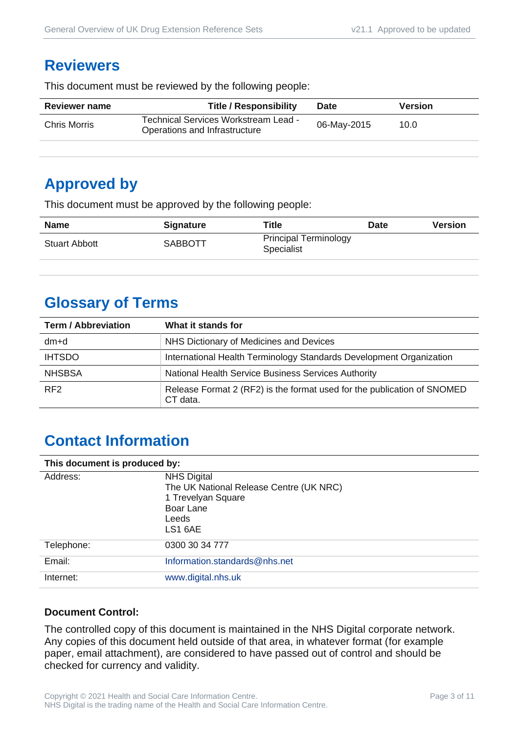#### **Reviewers**

This document must be reviewed by the following people:

| <b>Reviewer name</b> | <b>Title / Responsibility</b>                                         | <b>Date</b> | <b>Version</b> |
|----------------------|-----------------------------------------------------------------------|-------------|----------------|
| Chris Morris         | Technical Services Workstream Lead -<br>Operations and Infrastructure | 06-May-2015 | 10.0           |
|                      |                                                                       |             |                |

### **Approved by**

This document must be approved by the following people:

| <b>Name</b>          | <b>Signature</b> | <b>Title</b>                                      | <b>Date</b> | <b>Version</b> |
|----------------------|------------------|---------------------------------------------------|-------------|----------------|
| <b>Stuart Abbott</b> | <b>SABBOTT</b>   | <b>Principal Terminology</b><br><b>Specialist</b> |             |                |

### **Glossary of Terms**

| <b>Term / Abbreviation</b> | What it stands for                                                                  |
|----------------------------|-------------------------------------------------------------------------------------|
| dm+d                       | NHS Dictionary of Medicines and Devices                                             |
| <b>IHTSDO</b>              | International Health Terminology Standards Development Organization                 |
| <b>NHSBSA</b>              | National Health Service Business Services Authority                                 |
| RF <sub>2</sub>            | Release Format 2 (RF2) is the format used for the publication of SNOMED<br>CT data. |

### **Contact Information**

| This document is produced by: |                                                                                                                      |  |
|-------------------------------|----------------------------------------------------------------------------------------------------------------------|--|
| Address:                      | <b>NHS Digital</b><br>The UK National Release Centre (UK NRC)<br>1 Trevelyan Square<br>Boar Lane<br>Leeds<br>LS1 6AE |  |
| Telephone:                    | 0300 30 34 777                                                                                                       |  |
| Email:                        | Information.standards@nhs.net                                                                                        |  |
| Internet:                     | www.digital.nhs.uk                                                                                                   |  |

#### **Document Control:**

The controlled copy of this document is maintained in the NHS Digital corporate network. Any copies of this document held outside of that area, in whatever format (for example paper, email attachment), are considered to have passed out of control and should be checked for currency and validity.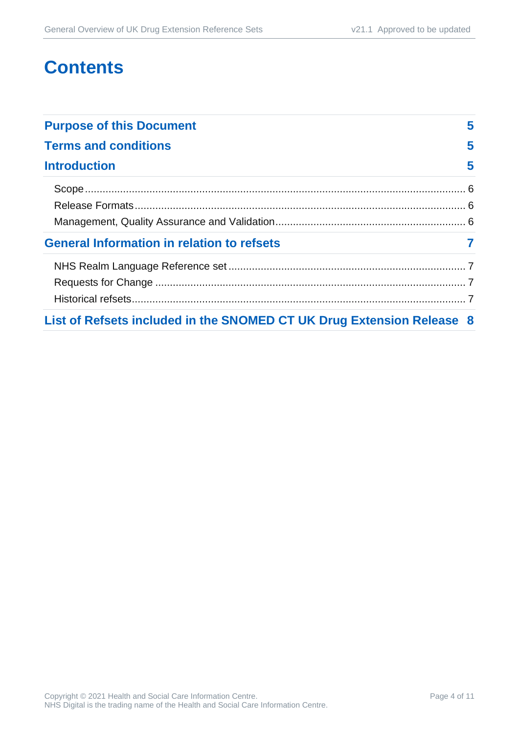### **Contents**

| <b>Purpose of this Document</b>                                       |   |
|-----------------------------------------------------------------------|---|
| <b>Terms and conditions</b>                                           | 5 |
| <b>Introduction</b>                                                   | 5 |
|                                                                       |   |
|                                                                       |   |
|                                                                       |   |
| <b>General Information in relation to refsets</b>                     |   |
|                                                                       |   |
|                                                                       |   |
|                                                                       |   |
| List of Refsets included in the SNOMED CT UK Drug Extension Release 8 |   |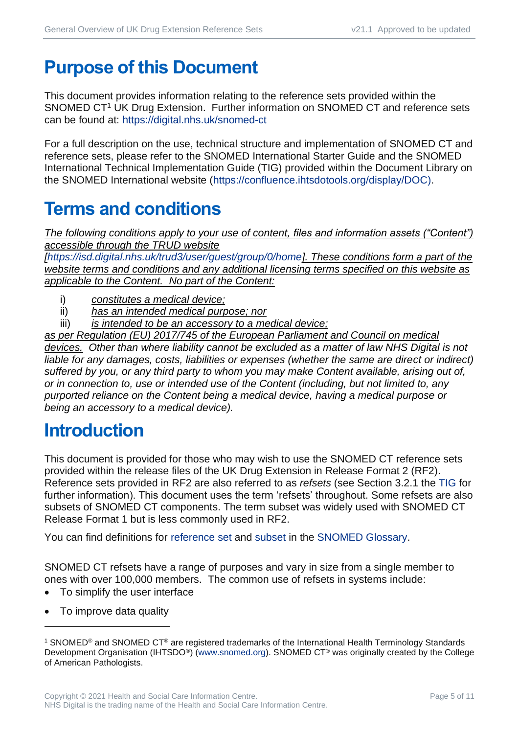### <span id="page-4-0"></span>**Purpose of this Document**

This document provides information relating to the reference sets provided within the SNOMED CT<sup>1</sup> UK Drug Extension. Further information on SNOMED CT and reference sets can be found at:<https://digital.nhs.uk/snomed-ct>

For a full description on the use, technical structure and implementation of SNOMED CT and reference sets, please refer to the SNOMED International Starter Guide and the SNOMED International Technical Implementation Guide (TIG) provided within the Document Library on the SNOMED International website [\(https://confluence.ihtsdotools.org/display/DOC\)](https://confluence.ihtsdotools.org/display/DOC).

### <span id="page-4-1"></span>**Terms and conditions**

*The following conditions apply to your use of content, files and information assets ("Content") accessible through the TRUD website* 

*[\[https://isd.digital.nhs.uk/trud3/user/guest/group/0/home\]](https://isd.digital.nhs.uk/trud3/user/guest/group/0/home). These conditions form a part of the website terms and conditions and any additional licensing terms specified on this website as applicable to the Content. No part of the Content:*

- i) *constitutes a medical device;*
- ii) *has an intended medical purpose; nor*
- iii) *is intended to be an accessory to a medical device;*

*as per Regulation (EU) 2017/745 of the European Parliament and Council on medical devices. Other than where liability cannot be excluded as a matter of law NHS Digital is not liable for any damages, costs, liabilities or expenses (whether the same are direct or indirect) suffered by you, or any third party to whom you may make Content available, arising out of, or in connection to, use or intended use of the Content (including, but not limited to, any purported reliance on the Content being a medical device, having a medical purpose or being an accessory to a medical device).*

### <span id="page-4-2"></span>**Introduction**

This document is provided for those who may wish to use the SNOMED CT reference sets provided within the release files of the UK Drug Extension in Release Format 2 (RF2). Reference sets provided in RF2 are also referred to as *refsets* (see Section 3.2.1 the [TIG](http://snomed.org/tig) for further information). This document uses the term 'refsets' throughout. Some refsets are also subsets of SNOMED CT components. The term subset was widely used with SNOMED CT Release Format 1 but is less commonly used in RF2.

You can find definitions for [reference set](https://confluence.ihtsdotools.org/display/DOCGLOSS/reference+set) and [subset](https://confluence.ihtsdotools.org/display/DOCGLOSS/subset) in the [SNOMED Glossary.](http://snomed.org/gl)

SNOMED CT refsets have a range of purposes and vary in size from a single member to ones with over 100,000 members. The common use of refsets in systems include:

- To simplify the user interface
- To improve data quality

<sup>1</sup> SNOMED® and SNOMED CT® are registered trademarks of the International Health Terminology Standards Development Organisation (IHTSDO<sup>®</sup>) [\(www.snomed.org\)](http://www.snomed.org/). SNOMED CT<sup>®</sup> was originally created by the College of American Pathologists.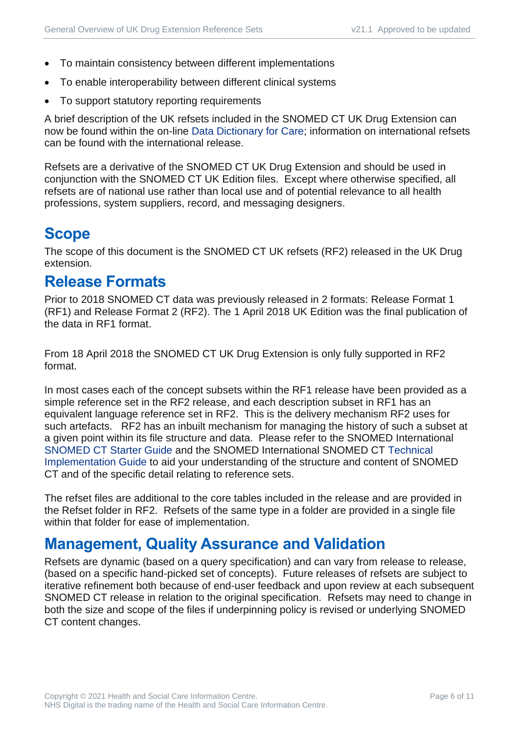- To maintain consistency between different implementations
- To enable interoperability between different clinical systems
- To support statutory reporting requirements

A brief description of the UK refsets included in the SNOMED CT UK Drug Extension can now be found within the on-line [Data Dictionary for Care;](https://dd4c.digital.nhs.uk/dd4c/) information on international refsets can be found with the international release.

Refsets are a derivative of the SNOMED CT UK Drug Extension and should be used in conjunction with the SNOMED CT UK Edition files. Except where otherwise specified, all refsets are of national use rather than local use and of potential relevance to all health professions, system suppliers, record, and messaging designers.

### <span id="page-5-0"></span>**Scope**

The scope of this document is the SNOMED CT UK refsets (RF2) released in the UK Drug extension.

#### <span id="page-5-1"></span>**Release Formats**

Prior to 2018 SNOMED CT data was previously released in 2 formats: Release Format 1 (RF1) and Release Format 2 (RF2). The 1 April 2018 UK Edition was the final publication of the data in RF1 format.

From 18 April 2018 the SNOMED CT UK Drug Extension is only fully supported in RF2 format.

In most cases each of the concept subsets within the RF1 release have been provided as a simple reference set in the RF2 release, and each description subset in RF1 has an equivalent language reference set in RF2. This is the delivery mechanism RF2 uses for such artefacts. RF2 has an inbuilt mechanism for managing the history of such a subset at a given point within its file structure and data. Please refer to the SNOMED International [SNOMED CT Starter Guide](http://snomed.org/starter) and the SNOMED International SNOMED CT [Technical](http://snomed.org/tig)  [Implementation Guide](http://snomed.org/tig) to aid your understanding of the structure and content of SNOMED CT and of the specific detail relating to reference sets.

The refset files are additional to the core tables included in the release and are provided in the Refset folder in RF2. Refsets of the same type in a folder are provided in a single file within that folder for ease of implementation.

#### <span id="page-5-2"></span>**Management, Quality Assurance and Validation**

Refsets are dynamic (based on a query specification) and can vary from release to release, (based on a specific hand-picked set of concepts). Future releases of refsets are subject to iterative refinement both because of end-user feedback and upon review at each subsequent SNOMED CT release in relation to the original specification. Refsets may need to change in both the size and scope of the files if underpinning policy is revised or underlying SNOMED CT content changes.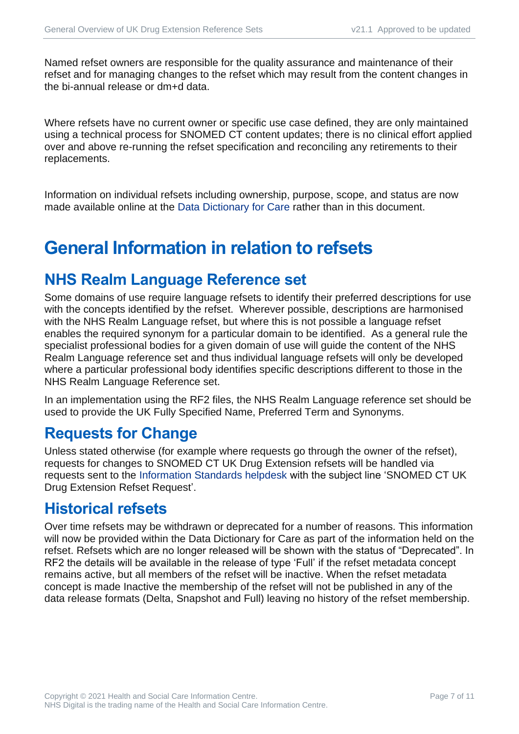Named refset owners are responsible for the quality assurance and maintenance of their refset and for managing changes to the refset which may result from the content changes in the bi-annual release or dm+d data.

Where refsets have no current owner or specific use case defined, they are only maintained using a technical process for SNOMED CT content updates; there is no clinical effort applied over and above re-running the refset specification and reconciling any retirements to their replacements.

Information on individual refsets including ownership, purpose, scope, and status are now made available online at the [Data Dictionary for Care](https://dd4c.digital.nhs.uk/dd4c/) rather than in this document.

### <span id="page-6-0"></span>**General Information in relation to refsets**

#### <span id="page-6-1"></span>**NHS Realm Language Reference set**

Some domains of use require language refsets to identify their preferred descriptions for use with the concepts identified by the refset. Wherever possible, descriptions are harmonised with the NHS Realm Language refset, but where this is not possible a language refset enables the required synonym for a particular domain to be identified. As a general rule the specialist professional bodies for a given domain of use will guide the content of the NHS Realm Language reference set and thus individual language refsets will only be developed where a particular professional body identifies specific descriptions different to those in the NHS Realm Language Reference set.

In an implementation using the RF2 files, the NHS Realm Language reference set should be used to provide the UK Fully Specified Name, Preferred Term and Synonyms.

#### <span id="page-6-2"></span>**Requests for Change**

Unless stated otherwise (for example where requests go through the owner of the refset), requests for changes to SNOMED CT UK Drug Extension refsets will be handled via requests sent to the [Information Standards helpdesk](mailto:information.standards@nhs.net?subject=SNOMED%20CT%20UK%20Drug%20Extension%20Refset%20Request) with the subject line 'SNOMED CT UK Drug Extension Refset Request'.

#### <span id="page-6-3"></span>**Historical refsets**

Over time refsets may be withdrawn or deprecated for a number of reasons. This information will now be provided within the Data Dictionary for Care as part of the information held on the refset. Refsets which are no longer released will be shown with the status of "Deprecated". In RF2 the details will be available in the release of type 'Full' if the refset metadata concept remains active, but all members of the refset will be inactive. When the refset metadata concept is made Inactive the membership of the refset will not be published in any of the data release formats (Delta, Snapshot and Full) leaving no history of the refset membership.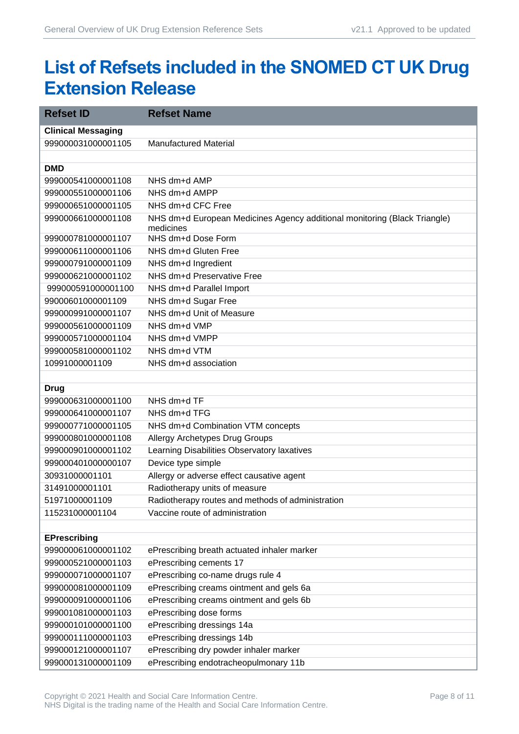### <span id="page-7-0"></span>**List of Refsets included in the SNOMED CT UK Drug Extension Release**

| <b>Refset ID</b>          | <b>Refset Name</b>                                                        |
|---------------------------|---------------------------------------------------------------------------|
| <b>Clinical Messaging</b> |                                                                           |
| 999000031000001105        | <b>Manufactured Material</b>                                              |
|                           |                                                                           |
| <b>DMD</b>                |                                                                           |
| 999000541000001108        | NHS dm+d AMP                                                              |
| 999000551000001106        | NHS dm+d AMPP                                                             |
| 999000651000001105        | NHS dm+d CFC Free                                                         |
| 999000661000001108        | NHS dm+d European Medicines Agency additional monitoring (Black Triangle) |
| 999000781000001107        | medicines<br>NHS dm+d Dose Form                                           |
| 999000611000001106        | NHS dm+d Gluten Free                                                      |
| 999000791000001109        | NHS dm+d Ingredient                                                       |
| 999000621000001102        | NHS dm+d Preservative Free                                                |
| 999000591000001100        | NHS dm+d Parallel Import                                                  |
| 99000601000001109         | NHS dm+d Sugar Free                                                       |
| 999000991000001107        | NHS dm+d Unit of Measure                                                  |
| 999000561000001109        | NHS dm+d VMP                                                              |
| 999000571000001104        | NHS dm+d VMPP                                                             |
| 999000581000001102        | NHS dm+d VTM                                                              |
| 10991000001109            | NHS dm+d association                                                      |
|                           |                                                                           |
| <b>Drug</b>               |                                                                           |
| 999000631000001100        | NHS dm+d TF                                                               |
| 999000641000001107        | NHS dm+d TFG                                                              |
| 999000771000001105        | NHS dm+d Combination VTM concepts                                         |
| 999000801000001108        | Allergy Archetypes Drug Groups                                            |
| 999000901000001102        | Learning Disabilities Observatory laxatives                               |
| 999000401000000107        | Device type simple                                                        |
| 30931000001101            | Allergy or adverse effect causative agent                                 |
| 31491000001101            | Radiotherapy units of measure                                             |
| 51971000001109            | Radiotherapy routes and methods of administration                         |
| 115231000001104           | Vaccine route of administration                                           |
|                           |                                                                           |
| <b>EPrescribing</b>       |                                                                           |
| 999000061000001102        | ePrescribing breath actuated inhaler marker                               |
| 999000521000001103        | ePrescribing cements 17                                                   |
| 999000071000001107        | ePrescribing co-name drugs rule 4                                         |
| 999000081000001109        | ePrescribing creams ointment and gels 6a                                  |
| 999000091000001106        | ePrescribing creams ointment and gels 6b                                  |
| 999001081000001103        | ePrescribing dose forms                                                   |
| 999000101000001100        | ePrescribing dressings 14a                                                |
| 999000111000001103        | ePrescribing dressings 14b                                                |
| 999000121000001107        | ePrescribing dry powder inhaler marker                                    |
| 999000131000001109        | ePrescribing endotracheopulmonary 11b                                     |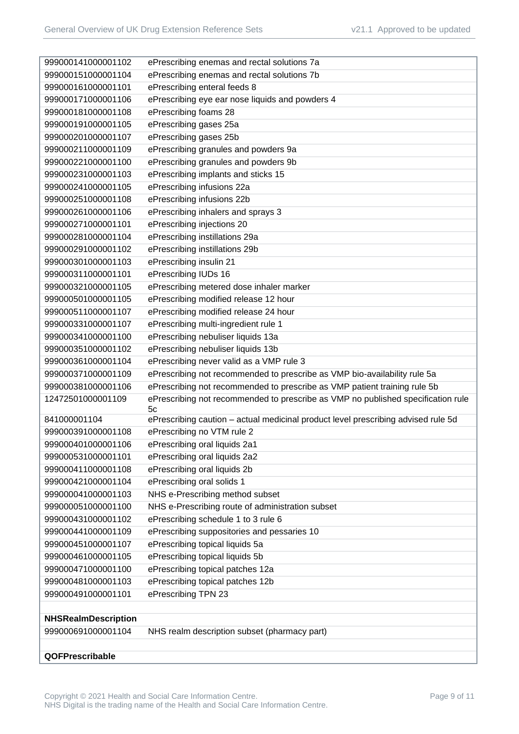| 999000141000001102         | ePrescribing enemas and rectal solutions 7a                                       |
|----------------------------|-----------------------------------------------------------------------------------|
| 999000151000001104         | ePrescribing enemas and rectal solutions 7b                                       |
| 999000161000001101         | ePrescribing enteral feeds 8                                                      |
| 999000171000001106         | ePrescribing eye ear nose liquids and powders 4                                   |
| 999000181000001108         | ePrescribing foams 28                                                             |
| 999000191000001105         | ePrescribing gases 25a                                                            |
| 999000201000001107         | ePrescribing gases 25b                                                            |
| 999000211000001109         | ePrescribing granules and powders 9a                                              |
| 999000221000001100         | ePrescribing granules and powders 9b                                              |
| 999000231000001103         | ePrescribing implants and sticks 15                                               |
| 999000241000001105         | ePrescribing infusions 22a                                                        |
| 999000251000001108         | ePrescribing infusions 22b                                                        |
| 999000261000001106         | ePrescribing inhalers and sprays 3                                                |
| 999000271000001101         | ePrescribing injections 20                                                        |
| 999000281000001104         | ePrescribing instillations 29a                                                    |
| 999000291000001102         | ePrescribing instillations 29b                                                    |
| 999000301000001103         | ePrescribing insulin 21                                                           |
| 999000311000001101         | ePrescribing IUDs 16                                                              |
| 999000321000001105         | ePrescribing metered dose inhaler marker                                          |
| 999000501000001105         | ePrescribing modified release 12 hour                                             |
| 999000511000001107         | ePrescribing modified release 24 hour                                             |
| 999000331000001107         | ePrescribing multi-ingredient rule 1                                              |
| 999000341000001100         | ePrescribing nebuliser liquids 13a                                                |
| 999000351000001102         | ePrescribing nebuliser liquids 13b                                                |
| 999000361000001104         | ePrescribing never valid as a VMP rule 3                                          |
| 999000371000001109         | ePrescribing not recommended to prescribe as VMP bio-availability rule 5a         |
| 999000381000001106         | ePrescribing not recommended to prescribe as VMP patient training rule 5b         |
| 12472501000001109          | ePrescribing not recommended to prescribe as VMP no published specification rule  |
|                            | 5 <sub>c</sub>                                                                    |
| 841000001104               | ePrescribing caution - actual medicinal product level prescribing advised rule 5d |
| 999000391000001108         | ePrescribing no VTM rule 2                                                        |
| 999000401000001106         | ePrescribing oral liquids 2a1                                                     |
| 999000531000001101         | ePrescribing oral liquids 2a2                                                     |
| 999000411000001108         | ePrescribing oral liquids 2b                                                      |
| 999000421000001104         | ePrescribing oral solids 1                                                        |
| 999000041000001103         | NHS e-Prescribing method subset                                                   |
| 999000051000001100         | NHS e-Prescribing route of administration subset                                  |
| 999000431000001102         | ePrescribing schedule 1 to 3 rule 6                                               |
| 999000441000001109         | ePrescribing suppositories and pessaries 10                                       |
| 999000451000001107         | ePrescribing topical liquids 5a                                                   |
| 999000461000001105         | ePrescribing topical liquids 5b                                                   |
| 999000471000001100         | ePrescribing topical patches 12a                                                  |
| 999000481000001103         | ePrescribing topical patches 12b                                                  |
| 999000491000001101         | ePrescribing TPN 23                                                               |
|                            |                                                                                   |
| <b>NHSRealmDescription</b> |                                                                                   |
| 999000691000001104         | NHS realm description subset (pharmacy part)                                      |
|                            |                                                                                   |
| QOFPrescribable            |                                                                                   |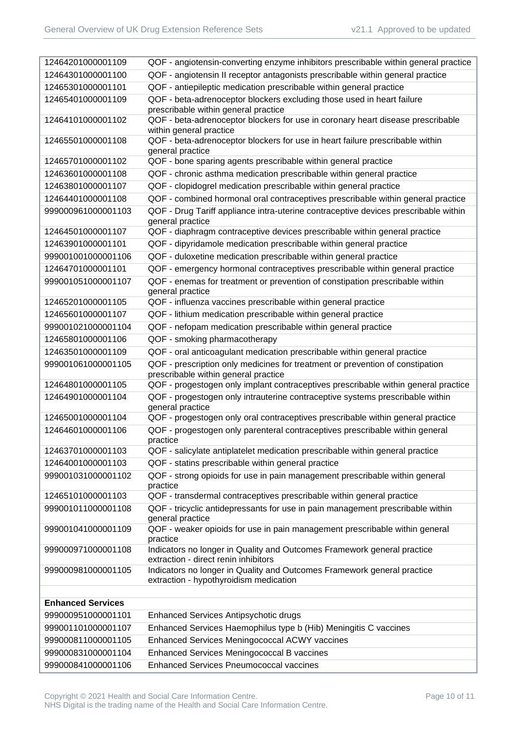| 12464201000001109        | QOF - angiotensin-converting enzyme inhibitors prescribable within general practice                                   |
|--------------------------|-----------------------------------------------------------------------------------------------------------------------|
| 12464301000001100        | QOF - angiotensin II receptor antagonists prescribable within general practice                                        |
| 12465301000001101        | QOF - antiepileptic medication prescribable within general practice                                                   |
| 12465401000001109        | QOF - beta-adrenoceptor blockers excluding those used in heart failure<br>prescribable within general practice        |
| 12464101000001102        | QOF - beta-adrenoceptor blockers for use in coronary heart disease prescribable<br>within general practice            |
| 12465501000001108        | QOF - beta-adrenoceptor blockers for use in heart failure prescribable within<br>general practice                     |
| 12465701000001102        | QOF - bone sparing agents prescribable within general practice                                                        |
| 12463601000001108        | QOF - chronic asthma medication prescribable within general practice                                                  |
| 12463801000001107        | QOF - clopidogrel medication prescribable within general practice                                                     |
| 12464401000001108        | QOF - combined hormonal oral contraceptives prescribable within general practice                                      |
| 999000961000001103       | QOF - Drug Tariff appliance intra-uterine contraceptive devices prescribable within<br>general practice               |
| 12464501000001107        | QOF - diaphragm contraceptive devices prescribable within general practice                                            |
| 12463901000001101        | QOF - dipyridamole medication prescribable within general practice                                                    |
| 999001001000001106       | QOF - duloxetine medication prescribable within general practice                                                      |
| 12464701000001101        | QOF - emergency hormonal contraceptives prescribable within general practice                                          |
| 999001051000001107       | QOF - enemas for treatment or prevention of constipation prescribable within<br>general practice                      |
| 12465201000001105        | QOF - influenza vaccines prescribable within general practice                                                         |
| 12465601000001107        | QOF - lithium medication prescribable within general practice                                                         |
| 999001021000001104       | QOF - nefopam medication prescribable within general practice                                                         |
| 12465801000001106        | QOF - smoking pharmacotherapy                                                                                         |
| 12463501000001109        | QOF - oral anticoagulant medication prescribable within general practice                                              |
| 999001061000001105       | QOF - prescription only medicines for treatment or prevention of constipation<br>prescribable within general practice |
| 12464801000001105        | QOF - progestogen only implant contraceptives prescribable within general practice                                    |
| 12464901000001104        | QOF - progestogen only intrauterine contraceptive systems prescribable within<br>general practice                     |
| 12465001000001104        | QOF - progestogen only oral contraceptives prescribable within general practice                                       |
| 12464601000001106        | QOF - progestogen only parenteral contraceptives prescribable within general<br>practice                              |
| 12463701000001103        | QOF - salicylate antiplatelet medication prescribable within general practice                                         |
| 12464001000001103        | QOF - statins prescribable within general practice                                                                    |
| 999001031000001102       | QOF - strong opioids for use in pain management prescribable within general<br>practice                               |
| 12465101000001103        | QOF - transdermal contraceptives prescribable within general practice                                                 |
| 999001011000001108       | QOF - tricyclic antidepressants for use in pain management prescribable within<br>general practice                    |
| 999001041000001109       | QOF - weaker opioids for use in pain management prescribable within general<br>practice                               |
| 999000971000001108       | Indicators no longer in Quality and Outcomes Framework general practice<br>extraction - direct renin inhibitors       |
| 999000981000001105       | Indicators no longer in Quality and Outcomes Framework general practice<br>extraction - hypothyroidism medication     |
|                          |                                                                                                                       |
| <b>Enhanced Services</b> |                                                                                                                       |
| 999000951000001101       | Enhanced Services Antipsychotic drugs                                                                                 |
| 999001101000001107       | Enhanced Services Haemophilus type b (Hib) Meningitis C vaccines                                                      |
| 999000811000001105       | Enhanced Services Meningococcal ACWY vaccines                                                                         |
| 999000831000001104       | Enhanced Services Meningococcal B vaccines                                                                            |
| 999000841000001106       | <b>Enhanced Services Pneumococcal vaccines</b>                                                                        |